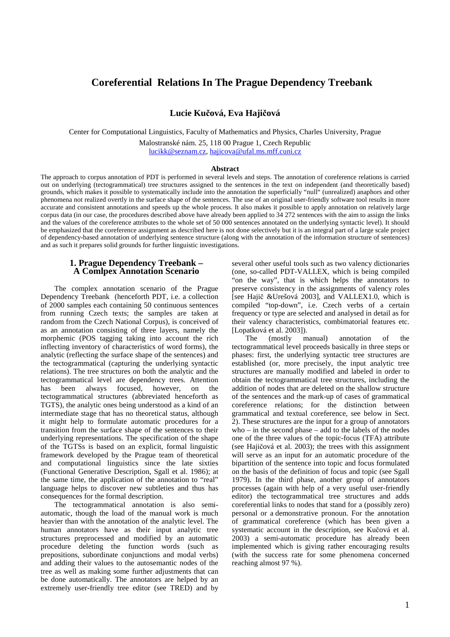# **Coreferential Relations In The Prague Dependency Treebank**

**Lucie Ku**č**ová, Eva Haji**č**ová** 

Center for Computational Linguistics, Faculty of Mathematics and Physics, Charles University, Prague

Malostranské nám. 25, 118 00 Prague 1, Czech Republic lucikk@seznam.cz, hajicova@ufal.ms.mff.cuni.cz

#### **Abstract**

The approach to corpus annotation of PDT is performed in several levels and steps. The annotation of coreference relations is carried out on underlying (tectogrammatical) tree structures assigned to the sentences in the text on independent (and theoretically based) grounds, which makes it possible to systematically include into the annotation the superficially "null" (unrealized) anaphors and other phenomena not realized overtly in the surface shape of the sentences. The use of an original user-friendly software tool results in more accurate and consistent annotations and speeds up the whole process. It also makes it possible to apply annotation on relatively large corpus data (in our case, the procedures described above have already been applied to 34 272 sentences with the aim to assign the links and the values of the coreference attributes to the whole set of 50 000 sentences annotated on the underlying syntactic level). It should be emphasized that the coreference assignment as described here is not done selectively but it is an integral part of a large scale project of dependency-based annotation of underlying sentence structure (along with the annotation of the information structure of sentences) and as such it prepares solid grounds for further linguistic investigations.

## **1. Prague Dependency Treebank – A Comlpex Annotation Scenario**

The complex annotation scenario of the Prague Dependency Treebank (henceforth PDT, i.e. a collection of 2000 samples each containing 50 continuous sentences from running Czech texts; the samples are taken at random from the Czech National Corpus), is conceived of as an annotation consisting of three layers, namely the morphemic (POS tagging taking into account the rich inflecting inventory of characteristics of word forms), the analytic (reflecting the surface shape of the sentences) and the tectogrammatical (capturing the underlying syntactic relations). The tree structures on both the analytic and the tectogrammatical level are dependency trees. Attention has been always focused, however, on the tectogrammatical structures (abbreviated henceforth as TGTS), the analytic ones being understood as a kind of an intermediate stage that has no theoretical status, although it might help to formulate automatic procedures for a transition from the surface shape of the sentences to their underlying representations. The specification of the shape of the TGTSs is based on an explicit, formal linguistic framework developed by the Prague team of theoretical and computational linguistics since the late sixties (Functional Generative Description, Sgall et al. 1986); at the same time, the application of the annotation to "real" language helps to discover new subtleties and thus has consequences for the formal description.

The tectogrammatical annotation is also semiautomatic, though the load of the manual work is much heavier than with the annotation of the analytic level. The human annotators have as their input analytic tree structures preprocessed and modified by an automatic procedure deleting the function words (such as prepositions, subordinate conjunctions and modal verbs) and adding their values to the autosemantic nodes of the tree as well as making some further adjustments that can be done automatically. The annotators are helped by an extremely user-friendly tree editor (see TRED) and by

several other useful tools such as two valency dictionaries (one, so-called PDT-VALLEX, which is being compiled "on the way", that is which helps the annotators to preserve consistency in the assignments of valency roles [see Hajič &Urešová 2003], and VALLEX1.0, which is compiled "top-down", i.e. Czech verbs of a certain frequency or type are selected and analysed in detail as for their valency characteristics, combimatorial features etc. [Lopatková et al. 2003]).

The (mostly manual) annotation of the tectogrammatical level proceeds basically in three steps or phases: first, the underlying syntactic tree structures are established (or, more precisely, the input analytic tree structures are manually modified and labeled in order to obtain the tectogrammatical tree structures, including the addition of nodes that are deleted on the shallow structure of the sentences and the mark-up of cases of grammatical coreference relations; for the distinction between grammatical and textual coreference, see below in Sect. 2). These structures are the input for a group of annotators who – in the second phase – add to the labels of the nodes one of the three values of the topic-focus (TFA) attribute (see Hajičová et al. 2003); the trees with this assignment will serve as an input for an automatic procedure of the bipartition of the sentence into topic and focus formulated on the basis of the definition of focus and topic (see Sgall 1979). In the third phase, another group of annotators processes (again with help of a very useful user-friendly editor) the tectogrammatical tree structures and adds coreferential links to nodes that stand for a (possibly zero) personal or a demonstrative pronoun. For the annotation of grammatical coreference (which has been given a systematic account in the description, see Kučová et al. 2003) a semi-automatic procedure has already been implemented which is giving rather encouraging results (with the success rate for some phenomena concerned reaching almost 97 %).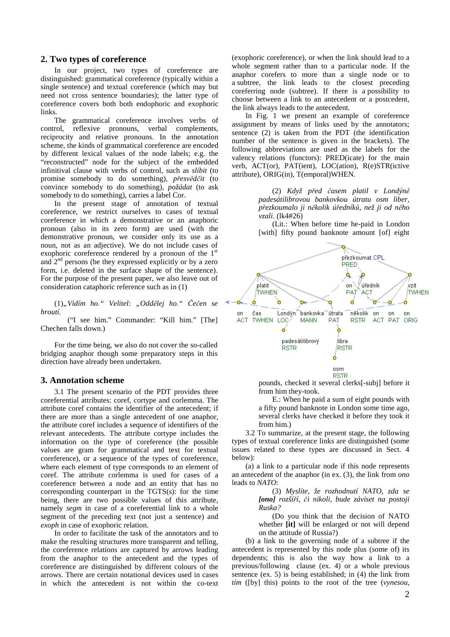### **2. Two types of coreference**

In our project, two types of coreference are distinguished: grammatical coreference (typically within a single sentence) and textual coreference (which may but need not cross sentence boundaries); the latter type of coreference covers both both endophoric and exophoric links.

The grammatical coreference involves verbs of control, reflexive pronouns, verbal complements, reciprocity and relative pronouns. In the annotation scheme, the kinds of grammatical coreference are encoded by different lexical values of the node labels; e.g. the "reconstructed" node for the subject of the embedded infinitival clause with verbs of control, such as *slíbit* (to promise somebody to do something), *p*ř*esv*ě*d*č*it* (to convince somebody to do something), *požádat* (to ask somebody to do something), carries a label Cor.

In the present stage of annotation of textual coreference, we restrict ourselves to cases of textual coreference in which a demonstrative or an anaphoric pronoun (also in its zero form) are used (with the demonstrative pronoun, we consider only its use as a noun, not as an adjective). We do not include cases of exophoric coreference rendered by a pronoun of the  $1<sup>st</sup>$ and  $2<sup>nd</sup>$  persons (be they expressed explicitly or by a zero form, i.e. deleted in the surface shape of the sentence). For the purpose of the present paper, we also leave out of consideration cataphoric reference such as in (1)

(1)*"Vidím ho." Velitel: "Odd*ě*lej ho."* Č*e*č*en se hroutí.* 

 ("I see him." Commander: "Kill him." [The] Chechen falls down.)

For the time being, we also do not cover the so-called bridging anaphor though some preparatory steps in this direction have already been undertaken.

# **3. Annotation scheme**

3.1 The present scenario of the PDT provides three coreferential attributes: coref, cortype and corlemma. The attribute coref contains the identifier of the antecedent; if there are more than a single antecedent of one anaphor, the attribute coref includes a sequence of identifiers of the relevant antecedents. The attribute cortype includes the information on the type of coreference (the possible values are gram for grammatical and text for textual coreference), or a sequence of the types of coreference, where each element of type corresponds to an element of coref. The attribute corlemma is used for cases of a coreference between a node and an entity that has no corresponding counterpart in the TGTS(s): for the time being, there are two possible values of this attribute, namely *segm* in case of a coreferential link to a whole segment of the preceding text (not just a sentence) and *exoph* in case of exophoric relation.

In order to facilitate the task of the annotators and to make the resulting structures more transparent and telling, the coreference relations are captured by arrows leading from the anaphor to the antecedent and the types of coreference are distinguished by different colours of the arrows. There are certain notational devices used in cases in which the antecedent is not within the co-text

(exophoric coreference), or when the link should lead to a whole segment rather than to a particular node. If the anaphor corefers to more than a single node or to a subtree, the link leads to the closest preceding coreferring node (subtree). If there is a possibility to choose between a link to an antecedent or a postcedent, the link always leads to the antecedent.

In Fig. 1 we present an example of coreference assignment by means of links used by the annotators; sentence (2) is taken from the PDT (the identification number of the sentence is given in the brackets). The following abbreviations are used as the labels for the valency relations (functors): PRED(icate) for the main verb, ACT(or), PAT(ient), LOC(ation), R(e)STR(ictive attribute), ORIG(in), T(emporal)WHEN.

> (2) *Když p*ř*ed* č*asem platil v Londýn*ě *padesátilibrovou bankovkou útratu osm liber, p*ř*ezkoumalo ji n*ě*kolik ú*ř*edník*ů*, než ji od n*ě*ho vzali.* (lk4#26)

> (Lit.: When before time he-paid in London [with] fifty pound banknote amount [of] eight



pounds, checked it several clerks[-subj] before it from him they-took.

E.: When he paid a sum of eight pounds with a fifty pound banknote in London some time ago, several clerks have checked it before they took it from him.)

3.2 To summarize, at the present stage, the following types of textual coreference links are distinguished (some issues related to these types are discussed in Sect. 4  $\mathbf{h}$ elow):

(a) a link to a particular node if this node represents an antecedent of the anaphor (in ex. (3), the link from *ono* leads to *NATO*:

> (3) *Myslíte, že rozhodnutí NATO, zda se [ono] rozší*ř*í,* č*i nikoli, bude záviset na postoji Ruska?*

> (Do you think that the decision of NATO whether **[it]** will be enlarged or not will depend on the attitude of Russia?)

(b) a link to the governing node of a subtree if the antecedent is represented by this node plus (some of) its dependents; this is also the way how a link to a previous/following clause (ex. 4) or a whole previous sentence (ex. 5) is being established; in (4) the link from *tím* ([by] this) points to the root of the tree (*vynesou*,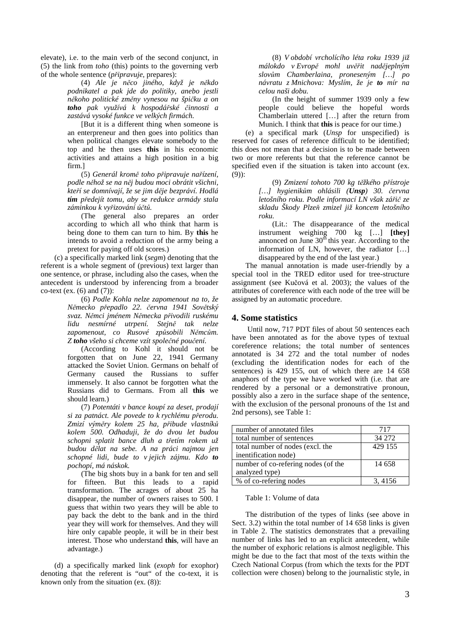elevate), i.e. to the main verb of the second conjunct, in (5) the link from *toho* (this) points to the governing verb of the whole sentence (*p*ř*ipravuje*, prepares):

> (4) *Ale je n*ě*co jiného, když je n*ě*kdo podnikatel a pak jde do politiky, anebo jestli n*ě*koho politické zm*ě*ny vynesou na špi*č*ku a on toho pak využívá k hospodá*ř*ské* č*innosti a zastává vysoké funkce ve velkých firmách.*

> [But it is a different thing when someone is an enterpreneur and then goes into politics than when political changes elevate somebody to the top and he then uses **this** in his economic activities and attains a high position in a big firm.]

> (5) *Generál krom*ě *toho p*ř*ipravuje na*ř*ízení, podle n*ě*hož se na n*ě*j budou moci obrátit všichni, kte*ř*í se domnívají, že se jim d*ě*je bezpráví. Hodlá tím p*ř*edejít tomu, aby se redukce armády stala záminkou k vy*ř*izování ú*č*t*ů*.*

> (The general also prepares an order according to which all who think that harm is being done to them can turn to him. By **this** he intends to avoid a reduction of the army being a pretext for paying off old scores.)

(c) a specifically marked link (*segm*) denoting that the referent is a whole segment of (previous) text larger than one sentence, or phrase, including also the cases, when the antecedent is understood by inferencing from a broader co-text (ex.  $(6)$  and  $(7)$ ):

> (6) *Podle Kohla nelze zapomenout na to, že N*ě*mecko p*ř*epadlo 22.* č*ervna 1941 Sov*ě*tský svaz. N*ě*mci jménem N*ě*mecka p*ř*ivodili ruskému lidu nesmírné utrpení. Stejn*ě *tak nelze zapomenout, co Rusové zp*ů*sobili N*ě*mc*ů*m. Z toho všeho si chceme vzít spole*č*né pou*č*ení.*

> (According to Kohl it should not be forgotten that on June 22, 1941 Germany attacked the Soviet Union. Germans on behalf of Germany caused the Russians to suffer immensely. It also cannot be forgotten what the Russians did to Germans. From all **this** we should learn.)

> (7) *Potentáti v bance koupí za deset, prodají si za patnáct. Ale povede to k rychlému p*ř*erodu. Zmizí vým*ě*ry kolem 25 ha, p*ř*ibude vlastník*ů *kolem 500. Odhaduji, že do dvou let budou schopni splatit bance dluh a t*ř*etím rokem už budou d*ě*lat na sebe. A na práci najmou jen schopné lidi, bude to v jejich zájmu. Kdo to pochopí, má náskok.*

> (The big shots buy in a bank for ten and sell for fifteen. But this leads to a rapid transformation. The acrages of about 25 ha disappear, the number of owners raises to 500. I guess that within two years they will be able to pay back the debt to the bank and in the third year they will work for themselves. And they will hire only capable people, it will be in their best interest. Those who understand **this**, will have an advantage.)

(d) a specifically marked link (*exoph* for exophor) denoting that the referent is "out" of the co-text, it is known only from the situation (ex. (8)):

(8) *V období vrcholícího léta roku 1939 již málokdo v Evrop*ě *mohl uv*ěř*it nad*ě*jeplným slov*ů*m Chamberlaina, proneseným […] po návratu z Mnichova: Myslím, že je to mír na celou naši dobu.* 

(In the height of summer 1939 only a few people could believe the hopeful words Chamberlain uttered […] after the return from Munich. I think that **this** is peace for our time.)

(e) a specifical mark (*Unsp* for unspecified) is reserved for cases of reference difficult to be identified; this does not mean that a decision is to be made between two or more referents but that the reference cannot be specified even if the situation is taken into account (ex. (9)):

> (9) *Zmizení tohoto 700 kg t*ě*žkého p*ř*ístroje […] hygienik*ů*m ohlásili (Unsp) 30.* č*ervna letošního roku. Podle informací LN však zá*ř*i*č *ze skladu Škody Plze*ň *zmizel již koncem letošního roku.*

> (Lit.: The disappearance of the medical instrument weighing 700 kg […] **[they]** annonced on June  $30<sup>th</sup>$  this year. According to the information of LN, however, the radiator […] disappeared by the end of the last year.)

The manual annotation is made user-friendly by a special tool in the TRED editor used for tree-structure assignment (see Kučová et al. 2003); the values of the attributes of coreference with each node of the tree will be assigned by an automatic procedure.

# **4. Some statistics**

 Until now, 717 PDT files of about 50 sentences each have been annotated as for the above types of textual coreference relations; the total number of sentences annotated is 34 272 and the total number of nodes (excluding the identification nodes for each of the sentences) is 429 155, out of which there are 14 658 anaphors of the type we have worked with (i.e. that are rendered by a personal or a demonstrative pronoun, possibly also a zero in the surface shape of the sentence, with the exclusion of the personal pronouns of the 1st and 2nd persons), see Table 1:

| number of annotated files           | 717     |
|-------------------------------------|---------|
| total number of sentences           | 34 272  |
| total number of nodes (excl. the    | 429 155 |
| inentification node)                |         |
| number of co-refering nodes (of the | 14 658  |
| analyzed type)                      |         |
| % of co-refering nodes              | 3.4156  |

Table 1: Volume of data

The distribution of the types of links (see above in Sect. 3.2) within the total number of 14 658 links is given in Table 2. The statistics demonstrates that a prevailing number of links has led to an explicit antecedent, while the number of exphoric relations is almost negligible. This might be due to the fact that most of the texts within the Czech National Corpus (from which the texts for the PDT collection were chosen) belong to the journalistic style, in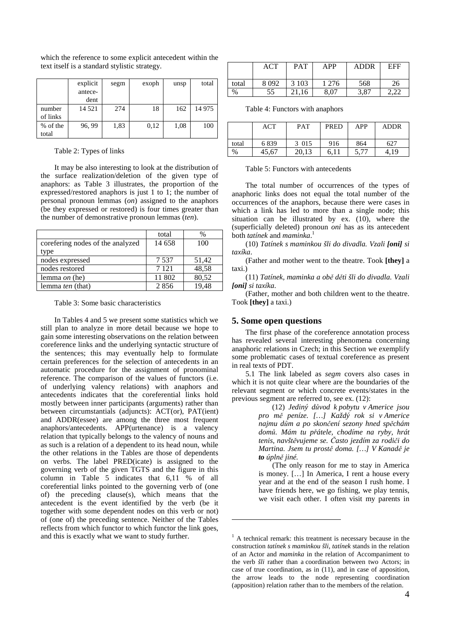|          | explicit | segm | exoph | unsp | total |
|----------|----------|------|-------|------|-------|
|          | antece-  |      |       |      |       |
|          | dent     |      |       |      |       |
| number   | 14 5 21  | 274  | 18    | 162  | 14975 |
| of links |          |      |       |      |       |
| % of the | 96, 99   | 1,83 | 0,12  | 1,08 | 100   |
| total    |          |      |       |      |       |

which the reference to some explicit antecedent within the text itself is a standard stylistic strategy.

Table 2: Types of links

It may be also interesting to look at the distribution of the surface realization/deletion of the given type of anaphors: as Table 3 illustrates, the proportion of the expressed/restored anaphors is just 1 to 1; the number of personal pronoun lemmas (*on*) assigned to the anaphors (be they expressed or restored) is four times greater than the number of demonstrative pronoun lemmas (*ten*).

|                                  | total   | $\%$  |
|----------------------------------|---------|-------|
| corefering nodes of the analyzed | 14 658  | 100   |
| type                             |         |       |
| nodes expressed                  | 7.537   | 51,42 |
| nodes restored                   | 7 1 2 1 | 48,58 |
| lemma <i>on</i> (he)             | 11 802  | 80,52 |
| lemma <i>ten</i> (that)          | 2856    | 19.48 |

Table 3: Some basic characteristics

In Tables 4 and 5 we present some statistics which we still plan to analyze in more detail because we hope to gain some interesting observations on the relation between coreference links and the underlying syntactic structure of the sentences; this may eventually help to formulate certain preferences for the selection of antecedents in an automatic procedure for the assignment of pronominal reference. The comparison of the values of functors (i.e. of underlying valency relations) with anaphors and antecedents indicates that the coreferential links hold mostly between inner participants (arguments) rather than between circumstantials (adjuncts): ACT(or), PAT(ient) and ADDR(essee) are among the three most frequent anaphors/antecedents. APP(urtenance) is a valency relation that typically belongs to the valency of nouns and as such is a relation of a dependent to its head noun, while the other relations in the Tables are those of dependents on verbs. The label PRED(icate) is assigned to the governing verb of the given TGTS and the figure in this column in Table 5 indicates that 6,11 % of all coreferential links pointed to the governing verb of (one of) the preceding clause(s), which means that the antecedent is the event identified by the verb (be it together with some dependent nodes on this verb or not) of (one of) the preceding sentence. Neither of the Tables reflects from which functor to which functor the link goes, and this is exactly what we want to study further.

|       | ACT  | PAT     | APP   | <b>ADDR</b> | <b>EFF</b> |
|-------|------|---------|-------|-------------|------------|
| total | 8092 | 3 1 0 3 | 1 276 | 568         | 26         |
| %     | 55   | 16      | 8,07  | 3,87        |            |

Table 4: Functors with anaphors

|       | ACT   | <b>PAT</b> | <b>PRED</b> | <b>APP</b> | <b>ADDR</b> |
|-------|-------|------------|-------------|------------|-------------|
| total | 6839  | 3 015      | 916         | 864        | 627         |
| %     | 45,67 | 20,13      | 6.11        | 5 77       | 4.19        |

Table 5: Functors with antecedents

The total number of occurrences of the types of anaphoric links does not equal the total number of the occurrences of the anaphors, because there were cases in which a link has led to more than a single node; this situation can be illustrated by ex. (10), where the (superficially deleted) pronoun *oni* has as its antecedent both *tatínek* and *maminka*. 1

(10) *Tatínek s maminkou šli do divadla. Vzali [oni] si taxíka*.

(Father and mother went to the theatre. Took **[they]** a taxi.)

(11) *Tatínek, maminka a ob*ě *d*ě*ti šli do divadla. Vzali [oni] si taxíka*.

(Father, mother and both children went to the theatre. Took **[they]** a taxi.)

# **5. Some open questions**

 $\overline{a}$ 

The first phase of the coreference annotation process has revealed several interesting phenomena concerning anaphoric relations in Czech; in this Section we exemplify some problematic cases of textual coreference as present in real texts of PDT.

5.1 The link labeled as *segm* covers also cases in which it is not quite clear where are the boundaries of the relevant segment or which concrete events/states in the previous segment are referred to, see ex. (12):

> (12) *Jediný d*ů*vod k pobytu v Americe jsou pro m*ě *peníze. […] Každý rok si v Americe najmu d*ů*m a po skon*č*ení sezony hned sp*ě*chám dom*ů*. Mám tu p*ř*átele, chodíme na ryby, hrát tenis, navšt*ě*vujeme se.* Č*asto jezdím za rodi*č*i do Martina. Jsem tu prost*ě *doma. […] V Kanad*ě *je to úpln*ě *jiné.*

> (The only reason for me to stay in America is money. […] In America, I rent a house every year and at the end of the season I rush home. I have friends here, we go fishing, we play tennis, we visit each other. I often visit my parents in

<sup>&</sup>lt;sup>1</sup> A technical remark: this treatment is necessary because in the construction *tatínek s maminkou šli*, *tatínek* stands in the relation of an Actor and *maminka* in the relation of Accompaniment to the verb *šli* rather than a coordination between two Actors; in case of true coordination, as in (11), and in case of apposition, the arrow leads to the node representing coordination (apposition) relation rather than to the members of the relation.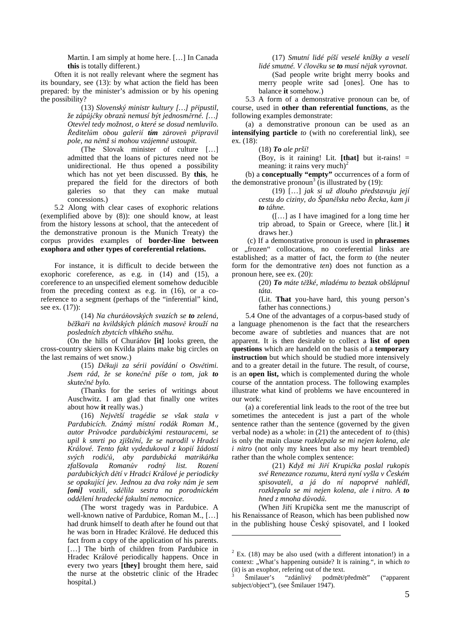Martin. I am simply at home here. […] In Canada **this** is totally different.)

Often it is not really relevant where the segment has its boundary, see (13): by what action the field has been prepared: by the minister's admission or by his opening the possibility?

> (13) *Slovenský ministr kultury […] p*ř*ipustil, že záp*ů*j*č*ky obraz*ů *nemusí být jednosm*ě*rné. […] Otev*ř*el tedy možnost, o které se dosud nemluvilo.*  Ř*editel*ů*m obou galerií tím zárove*ň *p*ř*ipravil pole, na n*ě*mž si mohou vzájemn*ě *ustoupit.*

> (The Slovak minister of culture […] admitted that the loans of pictures need not be unidirectional. He thus opened a possibility which has not yet been discussed. By **this**, he prepared the field for the directors of both galeries so that they can make mutual concessions.)

5.2 Along with clear cases of exophoric relations (exemplified above by (8)): one should know, at least from the history lessons at school, that the antecedent of the demonstrative pronoun is the Munich Treaty) the corpus provides examples of **border-line between exophora and other types of coreferential relations.**

For instance, it is difficult to decide between the exophoric coreference, as e.g. in (14) and (15), a coreference to an unspecified element somehow deducible from the preceding context as e.g. in (16), or a coreference to a segment (perhaps of the "inferential" kind, see ex. (17)):

> (14) *Na churá*ň*ovských svazích se to zelená, b*ě*žka*ř*i na kvildských pláních masov*ě *krouží na posledních zbytcích vlhkého sn*ě*hu.*

 (On the hills of Churáňov **[it]** looks green, the cross-country skiers on Kvilda plains make big circles on the last remains of wet snow.)

> (15) *D*ě*kuji za sérii povídání o Osv*ě*timi. Jsem rád, že se kone*č*n*ě *píše o tom, jak to skute*č*n*ě *bylo.*

> (Thanks for the series of writings about Auschwitz. I am glad that finally one writes about how **it** really was.)

> (16) *Nejv*ě*tší tragédie se však stala v Pardubicích. Známý místní rodák Roman M., autor Pr*ů*vodce pardubickými restauracemi, se upil k smrti po zjišt*ě*ní, že se narodil v Hradci Králové. Tento fakt vydedukoval z kopií žádostí svých rodi*čů*, aby pardubická matriká*ř*ka zfalšovala Roman*ů*v rodný list. Rození pardubických d*ě*tí v Hradci Králové je periodicky se opakující jev. Jednou za dva roky nám je sem [oni] vozili, sd*ě*lila sestra na porodnickém odd*ě*lení hradecké fakultní nemocnice.*

> (The worst tragedy was in Pardubice. A well-known native of Pardubice, Roman M., […] had drunk himself to death after he found out that he was born in Hradec Králové. He deduced this fact from a copy of the application of his parents. [...] The birth of children from Pardubice in Hradec Králové periodically happens. Once in every two years **[they]** brought them here, said the nurse at the obstetric clinic of the Hradec hospital.)

 $\overline{a}$ 

(17) *Smutní lidé píší veselé knížky a veselí* 

*lidé smutné. V* č*lov*ě*ku se to musí n*ě*jak vyrovnat.* 

(Sad people write bright merry books and merry people write sad [ones]. One has to balance **it** somehow.)

5.3 A form of a demonstrative pronoun can be, of course, used in **other than referential functions**, as the following examples demonstrate:

(a) a demonstrative pronoun can be used as an **intensifying particle** *to* (with no coreferential link), see ex. (18):

(18) *To ale prší!*

(Boy, is it raining! Lit. **[that]** but it-rains! = meaning: it rains very much)<sup>2</sup>

(b) a **conceptually "empty"** occurrences of a form of the demonstrative pronoun<sup>3</sup> (is illustrated by  $(19)$ :

> (19) […] *jak si už dlouho p*ř*edstavuju její cestu do ciziny, do Špan*ě*lska nebo* Ř*ecka, kam ji to táhne.*

> ([…] as I have imagined for a long time her trip abroad, to Spain or Greece, where [lit.] **it**  draws her.)

 (c) If a demonstrative pronoun is used in **phrasemes**  or "frozen" collocations, no coreferential links are established; as a matter of fact, the form *to* (the neuter form for the demontrative *ten*) does not function as a pronoun here, see ex. (20):

> (20) *To máte t*ě*žké, mladému to beztak obšlápnul táta.*

> (Lit. **That** you-have hard, this young person's father has connections.)

5.4 One of the advantages of a corpus-based study of a language phenomenon is the fact that the researchers become aware of subtleties and nuances that are not apparent. It is then desirable to collect a **list of open questions** which are handeld on the basis of a **temporary instruction** but which should be studied more intensively and to a greater detail in the future. The result, of course, is an **open list,** which is complemented during the whole course of the anntation process. The following examples illustrate what kind of problems we have encountered in our work:

(a) a coreferential link leads to the root of the tree but sometimes the antecedent is just a part of the whole sentence rather than the sentence (governed by the given verbal node) as a whole: in (21) the antecedent of *to* (this) is only the main clause *rozklepala se mi nejen kolena, ale i nitro* (not only my knees but also my heart trembled) rather than the whole complex sentence:

> (21) *Když mi Ji*ř*í Krupi*č*ka poslal rukopis své Renezance rozumu, která nyní vyšla v* Č*eském spisovateli, a já do ní napoprvé nahlédl, rozklepala se mi nejen kolena, ale i nitro. A to hned z mnoha d*ů*vod*ů*.*

 (When Jiří Krupička sent me the manuscript of his Renaissance of Reason, which has been published now in the publishing house Český spisovatel, and I looked

 $2$  Ex. (18) may be also used (with a different intonation!) in a context: "What's happening outside? It is raining.", in which *to* (it) is an exophor, refering out of the text.

<sup>3</sup> Šmilauer's "zdánlivý podmět/předmět" ("apparent subject/object"), (see Šmilauer 1947).